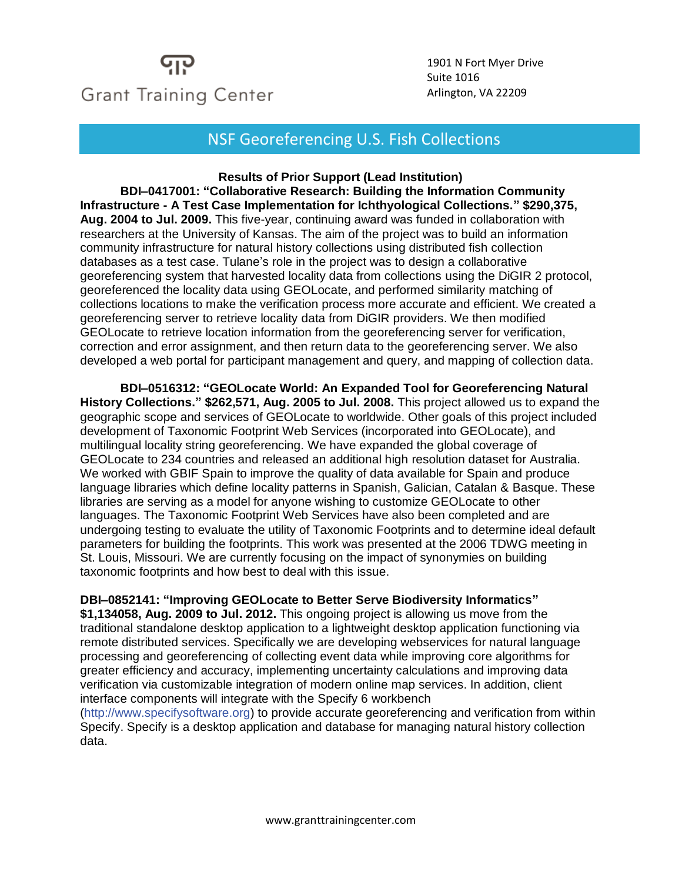# **Grant Training Center**

1901 N Fort Myer Drive Suite 1016 Arlington, VA 22209

### NSF Georeferencing U.S. Fish Collections

**Results of Prior Support (Lead Institution)**

**BDI–0417001: "Collaborative Research: Building the Information Community Infrastructure - A Test Case Implementation for Ichthyological Collections." \$290,375, Aug. 2004 to Jul. 2009.** This five-year, continuing award was funded in collaboration with researchers at the University of Kansas. The aim of the project was to build an information community infrastructure for natural history collections using distributed fish collection databases as a test case. Tulane's role in the project was to design a collaborative georeferencing system that harvested locality data from collections using the DiGIR 2 protocol, georeferenced the locality data using GEOLocate, and performed similarity matching of collections locations to make the verification process more accurate and efficient. We created a georeferencing server to retrieve locality data from DiGIR providers. We then modified GEOLocate to retrieve location information from the georeferencing server for verification, correction and error assignment, and then return data to the georeferencing server. We also developed a web portal for participant management and query, and mapping of collection data.

**BDI–0516312: "GEOLocate World: An Expanded Tool for Georeferencing Natural History Collections." \$262,571, Aug. 2005 to Jul. 2008.** This project allowed us to expand the geographic scope and services of GEOLocate to worldwide. Other goals of this project included development of Taxonomic Footprint Web Services (incorporated into GEOLocate), and multilingual locality string georeferencing. We have expanded the global coverage of GEOLocate to 234 countries and released an additional high resolution dataset for Australia. We worked with GBIF Spain to improve the quality of data available for Spain and produce language libraries which define locality patterns in Spanish, Galician, Catalan & Basque. These libraries are serving as a model for anyone wishing to customize GEOLocate to other languages. The Taxonomic Footprint Web Services have also been completed and are undergoing testing to evaluate the utility of Taxonomic Footprints and to determine ideal default parameters for building the footprints. This work was presented at the 2006 TDWG meeting in St. Louis, Missouri. We are currently focusing on the impact of synonymies on building taxonomic footprints and how best to deal with this issue.

**DBI–0852141: "Improving GEOLocate to Better Serve Biodiversity Informatics"**

**\$1,134058, Aug. 2009 to Jul. 2012.** This ongoing project is allowing us move from the traditional standalone desktop application to a lightweight desktop application functioning via remote distributed services. Specifically we are developing webservices for natural language processing and georeferencing of collecting event data while improving core algorithms for greater efficiency and accuracy, implementing uncertainty calculations and improving data verification via customizable integration of modern online map services. In addition, client interface components will integrate with the Specify 6 workbench

(http://www.specifysoftware.org) to provide accurate georeferencing and verification from within Specify. Specify is a desktop application and database for managing natural history collection data.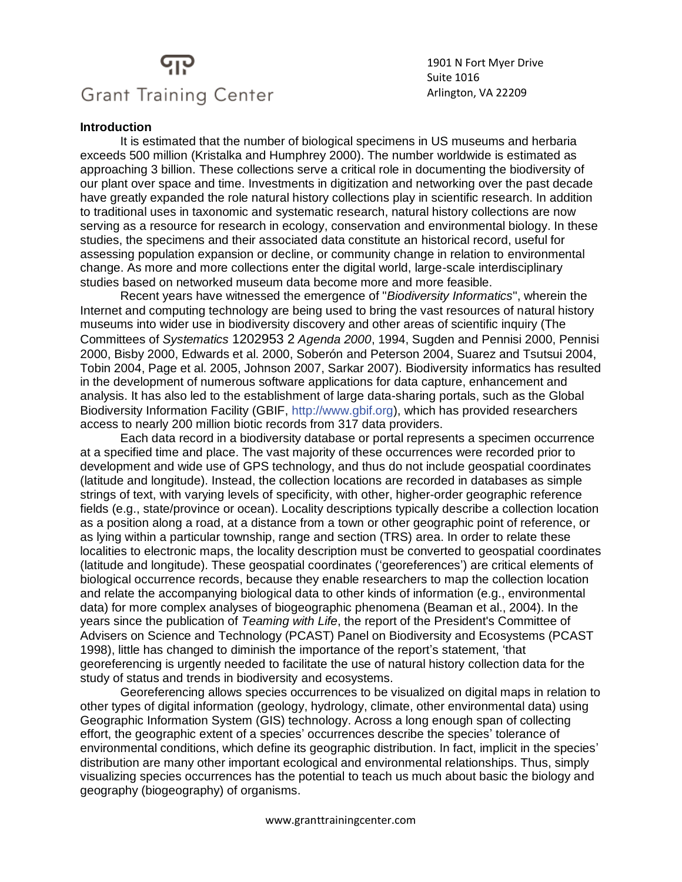## **Grant Training Center**

1901 N Fort Myer Drive Suite 1016 Arlington, VA 22209

#### **Introduction**

It is estimated that the number of biological specimens in US museums and herbaria exceeds 500 million (Kristalka and Humphrey 2000). The number worldwide is estimated as approaching 3 billion. These collections serve a critical role in documenting the biodiversity of our plant over space and time. Investments in digitization and networking over the past decade have greatly expanded the role natural history collections play in scientific research. In addition to traditional uses in taxonomic and systematic research, natural history collections are now serving as a resource for research in ecology, conservation and environmental biology. In these studies, the specimens and their associated data constitute an historical record, useful for assessing population expansion or decline, or community change in relation to environmental change. As more and more collections enter the digital world, large-scale interdisciplinary studies based on networked museum data become more and more feasible.

Recent years have witnessed the emergence of "*Biodiversity Informatics*", wherein the Internet and computing technology are being used to bring the vast resources of natural history museums into wider use in biodiversity discovery and other areas of scientific inquiry (The Committees of *Systematics* 1202953 2 *Agenda 2000*, 1994, Sugden and Pennisi 2000, Pennisi 2000, Bisby 2000, Edwards et al. 2000, Soberón and Peterson 2004, Suarez and Tsutsui 2004, Tobin 2004, Page et al. 2005, Johnson 2007, Sarkar 2007). Biodiversity informatics has resulted in the development of numerous software applications for data capture, enhancement and analysis. It has also led to the establishment of large data-sharing portals, such as the Global Biodiversity Information Facility (GBIF, http://www.gbif.org), which has provided researchers access to nearly 200 million biotic records from 317 data providers.

Each data record in a biodiversity database or portal represents a specimen occurrence at a specified time and place. The vast majority of these occurrences were recorded prior to development and wide use of GPS technology, and thus do not include geospatial coordinates (latitude and longitude). Instead, the collection locations are recorded in databases as simple strings of text, with varying levels of specificity, with other, higher-order geographic reference fields (e.g., state/province or ocean). Locality descriptions typically describe a collection location as a position along a road, at a distance from a town or other geographic point of reference, or as lying within a particular township, range and section (TRS) area. In order to relate these localities to electronic maps, the locality description must be converted to geospatial coordinates (latitude and longitude). These geospatial coordinates ('georeferences') are critical elements of biological occurrence records, because they enable researchers to map the collection location and relate the accompanying biological data to other kinds of information (e.g., environmental data) for more complex analyses of biogeographic phenomena (Beaman et al., 2004). In the years since the publication of *Teaming with Life*, the report of the President's Committee of Advisers on Science and Technology (PCAST) Panel on Biodiversity and Ecosystems (PCAST 1998), little has changed to diminish the importance of the report's statement, 'that georeferencing is urgently needed to facilitate the use of natural history collection data for the study of status and trends in biodiversity and ecosystems.

Georeferencing allows species occurrences to be visualized on digital maps in relation to other types of digital information (geology, hydrology, climate, other environmental data) using Geographic Information System (GIS) technology. Across a long enough span of collecting effort, the geographic extent of a species' occurrences describe the species' tolerance of environmental conditions, which define its geographic distribution. In fact, implicit in the species' distribution are many other important ecological and environmental relationships. Thus, simply visualizing species occurrences has the potential to teach us much about basic the biology and geography (biogeography) of organisms.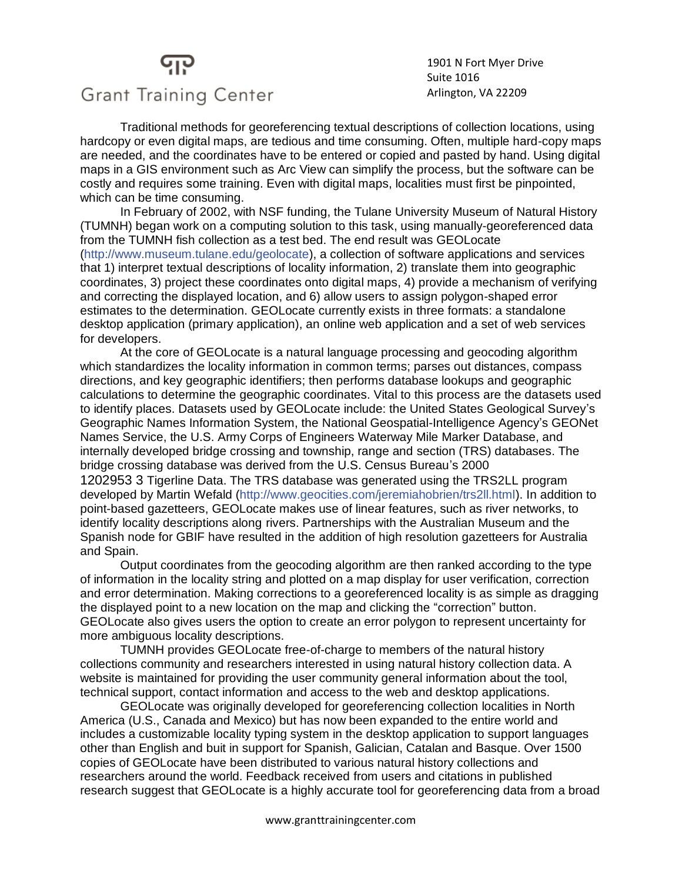## **Grant Training Center**

1901 N Fort Myer Drive Suite 1016 Arlington, VA 22209

Traditional methods for georeferencing textual descriptions of collection locations, using hardcopy or even digital maps, are tedious and time consuming. Often, multiple hard-copy maps are needed, and the coordinates have to be entered or copied and pasted by hand. Using digital maps in a GIS environment such as Arc View can simplify the process, but the software can be costly and requires some training. Even with digital maps, localities must first be pinpointed, which can be time consuming.

In February of 2002, with NSF funding, the Tulane University Museum of Natural History (TUMNH) began work on a computing solution to this task, using manually-georeferenced data from the TUMNH fish collection as a test bed. The end result was GEOLocate (http://www.museum.tulane.edu/geolocate), a collection of software applications and services that 1) interpret textual descriptions of locality information, 2) translate them into geographic coordinates, 3) project these coordinates onto digital maps, 4) provide a mechanism of verifying and correcting the displayed location, and 6) allow users to assign polygon-shaped error estimates to the determination. GEOLocate currently exists in three formats: a standalone desktop application (primary application), an online web application and a set of web services for developers.

At the core of GEOLocate is a natural language processing and geocoding algorithm which standardizes the locality information in common terms; parses out distances, compass directions, and key geographic identifiers; then performs database lookups and geographic calculations to determine the geographic coordinates. Vital to this process are the datasets used to identify places. Datasets used by GEOLocate include: the United States Geological Survey's Geographic Names Information System, the National Geospatial-Intelligence Agency's GEONet Names Service, the U.S. Army Corps of Engineers Waterway Mile Marker Database, and internally developed bridge crossing and township, range and section (TRS) databases. The bridge crossing database was derived from the U.S. Census Bureau's 2000 1202953 3 Tigerline Data. The TRS database was generated using the TRS2LL program developed by Martin Wefald (http://www.geocities.com/jeremiahobrien/trs2ll.html). In addition to point-based gazetteers, GEOLocate makes use of linear features, such as river networks, to identify locality descriptions along rivers. Partnerships with the Australian Museum and the Spanish node for GBIF have resulted in the addition of high resolution gazetteers for Australia and Spain.

Output coordinates from the geocoding algorithm are then ranked according to the type of information in the locality string and plotted on a map display for user verification, correction and error determination. Making corrections to a georeferenced locality is as simple as dragging the displayed point to a new location on the map and clicking the "correction" button. GEOLocate also gives users the option to create an error polygon to represent uncertainty for more ambiguous locality descriptions.

TUMNH provides GEOLocate free-of-charge to members of the natural history collections community and researchers interested in using natural history collection data. A website is maintained for providing the user community general information about the tool, technical support, contact information and access to the web and desktop applications.

GEOLocate was originally developed for georeferencing collection localities in North America (U.S., Canada and Mexico) but has now been expanded to the entire world and includes a customizable locality typing system in the desktop application to support languages other than English and buit in support for Spanish, Galician, Catalan and Basque. Over 1500 copies of GEOLocate have been distributed to various natural history collections and researchers around the world. Feedback received from users and citations in published research suggest that GEOLocate is a highly accurate tool for georeferencing data from a broad